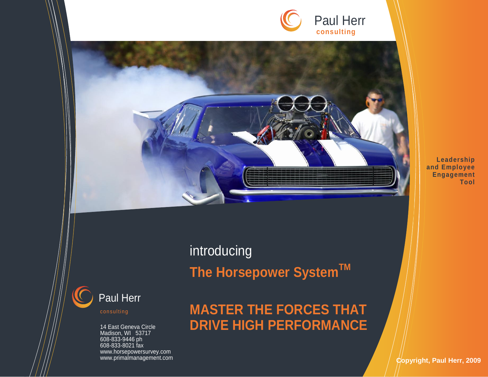



**Leadership and Employee Engagement Tool** 



Madison, WI 53717 608-833-9446 ph 608-833-8021 fax www.horsepowersurvey.com www.primalmanagement.com introducing **The Horsepower SystemTM**

# **MASTER THE FORCES THAT DRIVE HIGH PERFORMANCE**

**Copyright, Paul Herr, 2009**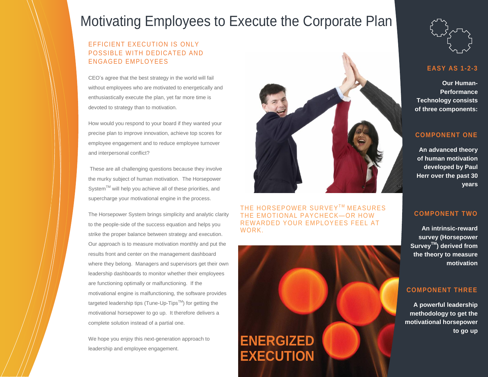# Motivating Employees to Execute the Corporate Plan

### EFFICIENT EXECUTION IS ONLY POSSIBLE WITH DEDICATED AND ENGAGED EMPLOYEES

CEO's agree that the best strategy in the world will fail without employees who are motivated to energetically and enthusiastically execute the plan, yet far more time is devoted to strategy than to motivation.

How would you respond to your board if they wanted your precise plan to improve innovation, achieve top scores for employee engagement and to reduce employee turnover and interpersonal conflict?

These are all challenging questions because they involve the murky subject of human motivation. The Horsepower System™ will help you achieve all of these priorities, and supercharge your motivational engine in the process.

The Horsepower System brings simplicity and analytic clarity to the people-side of the success equation and helps you strike the proper balance between strategy and execution. Our approach is to measure motivation monthly and put the results front and center on the management dashboard where they belong. Managers and supervisors get their own leadership dashboards to monitor whether their employees are functioning optimally or malfunctioning. If the motivational engine is malfunctioning, the software provides targeted leadership tips (Tune-Up-Tips<sup>TM</sup>) for getting the motivational horsepower to go up. It therefore delivers a complete solution instead of a partial one.

We hope you enjoy this next-generation approach to leadership and employee engagement.



THE HORSEPOWER SURVEY™ MEASURES EMOTIONAL PAYCHECK-OR HOW REWARDED YOUR EMPLOYEES FEEL AT WORK.





### **EASY AS 1-2-3**

**Our Human-Performance Technology consists of three components:**

### **COMPONENT ONE**

**An advanced theory of human motivation developed by Paul Herr over the past 30 years** 

### **COMPONENT TWO**

**An intrinsic-reward survey (Horsepower SurveyTM) derived from the theory to measure motivation** 

### **COMPONENT THREE**

**A powerful leadership methodology to get the motivational horsepower to go up**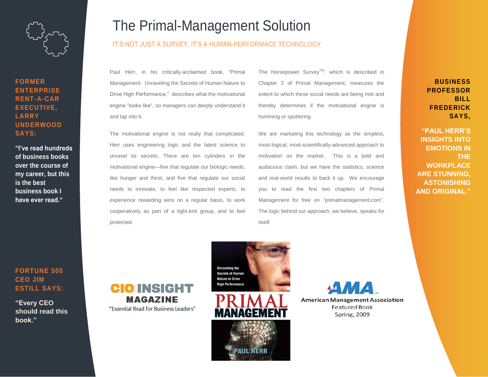

### **FORMER ENTERPRISE RENT-A-CAR EXECUTIVE, LARRY UNDERWOOD SAYS:**

**"I've read hundreds of business books over the course of my career, but this is the best business book I have ever read."**

## The Primal-Management Solution

#### IT'S NOT JUST A SURVEY, IT'S A HUMAN-PERFORMACE TECHNOLOGY

Paul Herr, in his critically-acclaimed book, "Primal Management: Unraveling the Secrets of Human Nature to Drive High Performance," describes what the motivational engine "looks like", so managers can deeply understand it and tap into it.

The motivational engine is not really that complicated. Herr uses engineering logic and the latest science to unravel its secrets. There are ten cylinders in the motivational engine—five that regulate our biologic needs, like hunger and thirst, and five that regulate our social needs to innovate, to feel like respected experts, to experience rewarding wins on a regular basis, to work cooperatively as part of a tight-knit group, and to feel protected.

The Horsepower Survey<sup>TM</sup>, which is described in Chapter 2 of Primal Management, measures the extent to which these social needs are being met and thereby determines if the motivational engine is humming or sputtering.

We are marketing this technology as the simplest, most-logical, most-scientifically-advanced approach to motivation on the market. This is a bold and audacious claim, but we have the statistics, science and real-world results to back it up. We encourage you to read the first two chapters of Primal Management for free on "primalmanagement.com". The logic behind our approach, we believe, speaks for itself.

**BUSINESS PROFESSOR BILL FREDERICK SAYS,** 

**"PAUL HERR'S INSIGHTS INTO EMOTIONS IN THE WORKPLACE ARE STUNNING, ASTONISHING AND ORIGINAL."** 

### **FORTUNE 500 CEO JIM ESTILL SAYS:**

**"Every CEO should read this book."** 





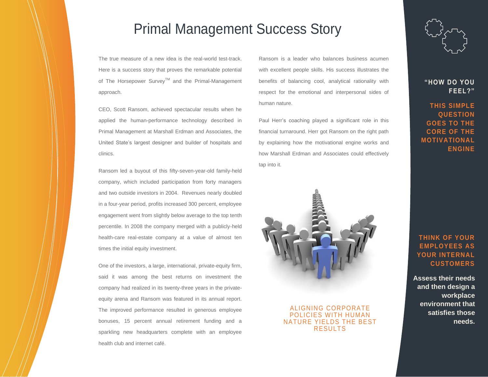### Primal Management Success Story

The true measure of a new idea is the real-world test-track. Here is a success story that proves the remarkable potential of The Horsepower Survey™ and the Primal-Management approach.

CEO, Scott Ransom, achieved spectacular results when he applied the human-performance technology described in Primal Management at Marshall Erdman and Associates, the United State's largest designer and builder of hospitals and clinics.

Ransom led a buyout of this fifty-seven-year-old family-held company, which included participation from forty managers and two outside investors in 2004. Revenues nearly doubled in a four-year period, profits increased 300 percent, employee engagement went from slightly below average to the top tenth percentile. In 2008 the company merged with a publicly-held health-care real-estate company at a value of almost ten times the initial equity investment.

One of the investors, a large, international, private-equity firm, said it was among the best returns on investment the company had realized in its twenty-three years in the privateequity arena and Ransom was featured in its annual report. The improved performance resulted in generous employee bonuses, 15 percent annual retirement funding and a sparkling new headquarters complete with an employee health club and internet café.

Ransom is a leader who balances business acumen with excellent people skills. His success illustrates the benefits of balancing cool, analytical rationality with respect for the emotional and interpersonal sides of human nature.

Paul Herr's coaching played a significant role in this financial turnaround. Herr got Ransom on the right path by explaining how the motivational engine works and how Marshall Erdman and Associates could effectively tap into it.



#### ALIGNING CORPORATE POLICIES WITH HUMAN NATURE YIELDS THE BEST RESULTS

### **"HOW DO YOU FEEL?"**

### **THIS SIMPLE QUESTION GOES TO THE CORE OF THE MOTIVATIONAL ENGINE**

### **THINK OF YOUR EMPLOYEES AS YOUR INTERNAL CUSTOMERS**

**Assess their needs and then design a workplace environment that satisfies those needs.**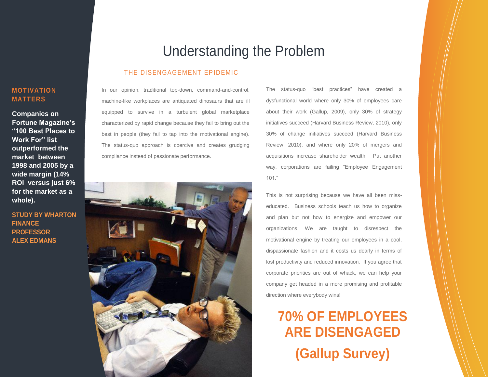### **MOTIVATION MATTERS**

**Companies on Fortune Magazine's "100 Best Places to Work For" list outperformed the market between 1998 and 2005 by a wide margin (14% ROI versus just 6% for the market as a whole).** 

**STUDY BY WHARTON FINANCE PROFESSOR ALEX EDMANS**

### Understanding the Problem

### THE DISENGAGEMENT EPIDEMIC

In our opinion, traditional top-down, command-and-control, machine-like workplaces are antiquated dinosaurs that are ill equipped to survive in a turbulent global marketplace characterized by rapid change because they fail to bring out the best in people (they fail to tap into the motivational engine). The status-quo approach is coercive and creates grudging compliance instead of passionate performance.



The status-quo "best practices" have created a dysfunctional world where only 30% of employees care about their work (Gallup, 2009), only 30% of strategy initiatives succeed (Harvard Business Review, 2010), only 30% of change initiatives succeed (Harvard Business Review, 2010), and where only 20% of mergers and acquisitions increase shareholder wealth. Put another way, corporations are failing "Employee Engagement 101."

This is not surprising because we have all been misseducated. Business schools teach us how to organize and plan but not how to energize and empower our organizations. We are taught to disrespect the motivational engine by treating our employees in a cool, dispassionate fashion and it costs us dearly in terms of lost productivity and reduced innovation. If you agree that corporate priorities are out of whack, we can help your company get headed in a more promising and profitable direction where everybody wins!

# **70% OF EMPLOYEES ARE DISENGAGED (Gallup Survey)**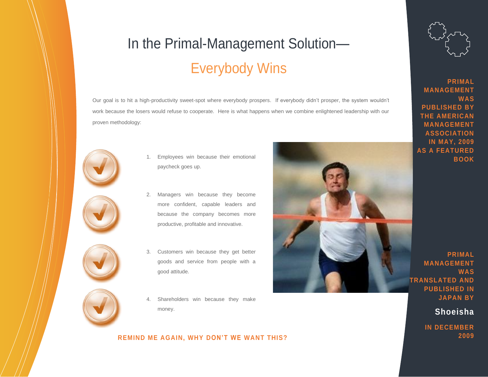# In the Primal-Management Solution— Everybody Wins

Our goal is to hit a high-productivity sweet-spot where everybody prospers. If everybody didn't prosper, the system wouldn't work because the losers would refuse to cooperate. Here is what happens when we combine enlightened leadership with our proven methodology:



- 1. Employees win because their emotional paycheck goes up.
- - 2. Managers win because they become more confident, capable leaders and because the company becomes more productive, profitable and innovative.



3. Customers win because they get better goods and service from people with a good attitude.



Shareholders win because they make money.

### **REMIND ME AGAIN, WHY DON'T WE WANT THIS?**





**PRIMAL MANAGEMENT WAS PUBLISHED BY THE AMERICAN MANAGEMENT ASSOCIATION IN MAY, 2009 AS A FEATURED BOOK**

**PRIMAL MANAGEMENT WAS TRANSLATED AND PUBLISHED IN JAPAN BY**

**Shoeisha** 

**IN DECEMBER 2009**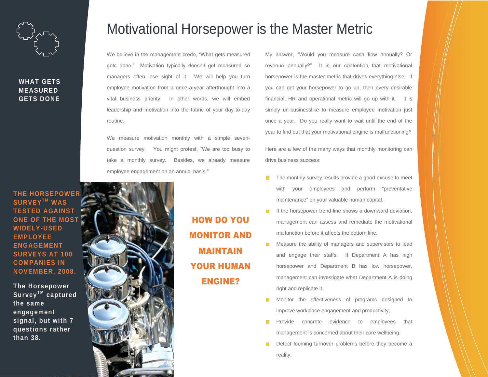

### **WHAT GETS MEASURED GETS DONE**

### Motivational Horsepower is the Master Metric

We believe in the management credo, "What gets measured gets done." Motivation typically doesn't get measured so managers often lose sight of it. We will help you turn employee motivation from a once-a-year afterthought into a vital business priority. In other words, we will embed leadership and motivation into the fabric of your day-to-day routine.

We measure motivation monthly with a simple sevenquestion survey. You might protest, "We are too busy to take a monthly survey. Besides, we already measure employee engagement on an annual basis."

My answer, "Would you measure cash flow annually? Or revenue annually?" It is our contention that motivational horsepower is the master metric that drives everything else. If you can get your horsepower to go up, then every desirable financial, HR and operational metric will go up with it. It is simply un-businesslike to measure employee motivation just once a year. Do you really want to wait until the end of the year to find out that your motivational engine is malfunctioning?

Here are a few of the many ways that monthly monitoring can drive business success:

- The monthly survey results provide a good excuse to meet with your employees and perform "preventative maintenance" on your valuable human capital.
- If the horsepower trend-line shows a downward deviation, management can assess and remediate the motivational malfunction before it affects the bottom line.
- Measure the ability of managers and supervisors to lead and engage their staffs. If Department A has high horsepower and Department B has low horsepower, management can investigate what Department A is doing right and replicate it.
- Monitor the effectiveness of programs designed to improve workplace engagement and productivity.
- Provide concrete evidence to employees that management is concerned about their core wellbeing.
- Detect looming turnover problems before they become a reality.

**THE HORSEPOWER BURVEY™ WAS TESTED AGAINST ONE OF THE MOST WIDELY-USED EMPLOYEE ENGAGEMENT SURVEYS AT 100 COMPANIES IN NOVEMBER, 2008.**

**The Horsepower**   $S$ urvey<sup>TM</sup> captured **the same engagement signal, but with 7 questions rather than 38.** 



HOW DO YOU MONITOR AND MAINTAIN YOUR HUMAN ENGINE?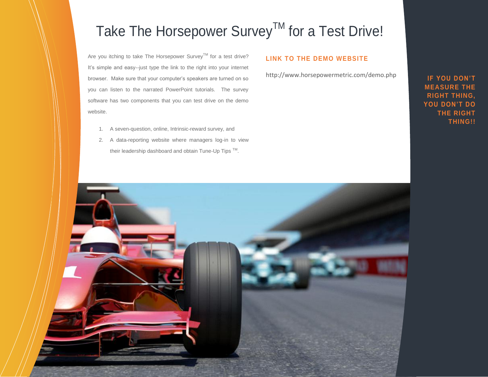# Take The Horsepower Survey™ for a Test Drive!

Are you itching to take The Horsepower Survey™ for a test drive? It's simple and easy--just type the link to the right into your internet browser. Make sure that your computer's speakers are turned on so you can listen to the narrated PowerPoint tutorials. The survey software has two components that you can test drive on the demo website.

- 1. A seven-question, online, Intrinsic-reward survey, and
- 2. A data-reporting website where managers log-in to view their leadership dashboard and obtain Tune-Up Tips ™.

### **LINK TO THE DEMO WEBSITE**

http://www.horsepowermetric.com/demo.php

**IF YOU DON'T MEASURE THE RIGHT THING, YOU DON'T DO THE RIGHT THING!!**

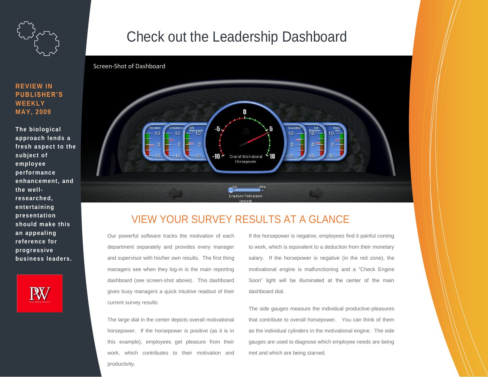

**REVIEW IN PUBLISHER'S** 

**The biological** 

**subject of employee performance** 

**the wellresearched, entertaining presentation should make this an appealing reference for progressive** 

**business leaders.** 

**WEEKLY MAY, 2009**

# Check out the Leadership Dashboard



### VIEW YOUR SURVEY RESULTS AT A GLANCE

Our powerful software tracks the motivation of each department separately and provides every manager and supervisor with his/her own results. The first thing managers see when they log-in is the main reporting dashboard (see screen-shot above). This dashboard gives busy managers a quick intuitive readout of their current survey results.

The large dial in the center depicts overall motivational horsepower. If the horsepower is positive (as it is in this example), employees get pleasure from their work, which contributes to their motivation and productivity.

If the horsepower is negative, employees find it painful coming to work, which is equivalent to a deduction from their monetary salary. If the horsepower is negative (in the red zone), the motivational engine is malfunctioning and a "Check Engine Soon" light will be illuminated at the center of the main dashboard dial.

The side gauges measure the individual productive-pleasures that contribute to overall horsepower. You can think of them as the individual cylinders in the motivational engine. The side gauges are used to diagnose which employee needs are being met and which are being starved.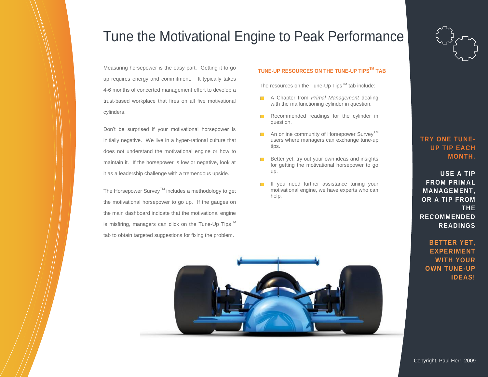# Tune the Motivational Engine to Peak Performance

Measuring horsepower is the easy part. Getting it to go up requires energy and commitment. It typically takes 4-6 months of concerted management effort to develop a trust-based workplace that fires on all five motivational cylinders.

Don't be surprised if your motivational horsepower is initially negative. We live in a hyper-rational culture that does not understand the motivational engine or how to maintain it. If the horsepower is low or negative, look at it as a leadership challenge with a tremendous upside.

The Horsepower Survey<sup>™</sup> includes a methodology to get the motivational horsepower to go up. If the gauges on the main dashboard indicate that the motivational engine is misfiring, managers can click on the Tune-Up Tips™ tab to obtain targeted suggestions for fixing the problem.

#### **TUNE-UP RESOURCES ON THE TUNE-UP TIPSTM TAB**

The resources on the Tune-Up  $Tips^{TM}$  tab include:

- A Chapter from *Primal Management* dealing with the malfunctioning cylinder in question.
- Recommended readings for the cylinder in question.
- **An online community of Horsepower Survey**<sup>TM</sup> users where managers can exchange tune-up tips.
- $B$  Better yet, try out your own ideas and insights for getting the motivational horsepower to go up.
- If you need further assistance tuning your motivational engine, we have experts who can help.



### **USE A TIP FROM PRIMAL MANAGEMENT, OR A TIP FROM THE RECOMMENDED READINGS**

**BETTER YET, EXPERIMENT WITH YOUR OWN TUNE-UP IDEAS!**